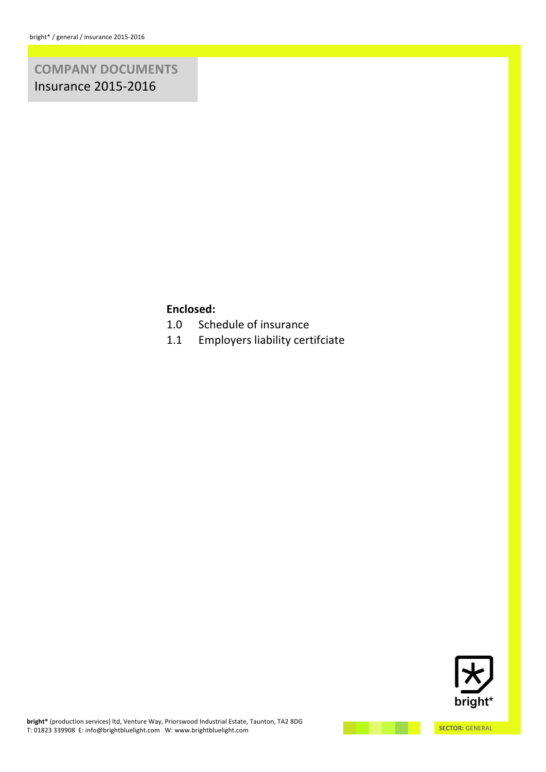# **COMPANY/DOCUMENTS Insurance 2015-2016**

# **Enclosed:**

- 1.0 Schedule of insurance
- 1.1 Employers liability certifciate

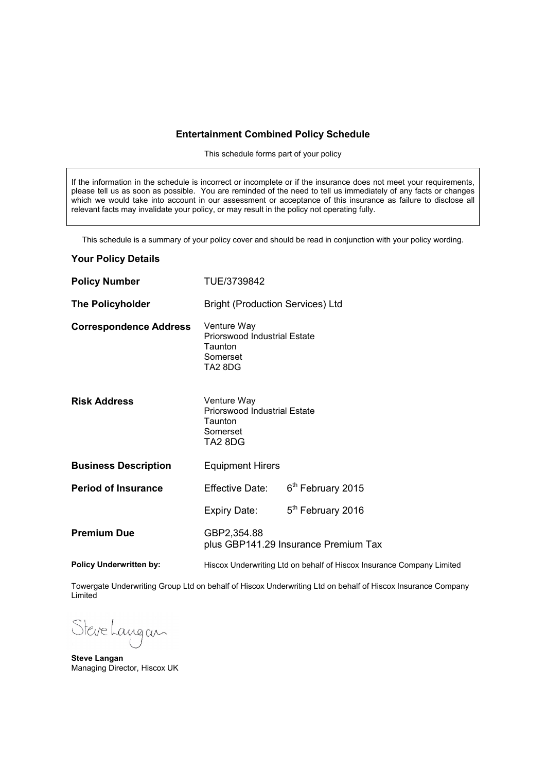### **Entertainment Combined Policy Schedule**

This schedule forms part of your policy

If the information in the schedule is incorrect or incomplete or if the insurance does not meet your requirements, please tell us as soon as possible. You are reminded of the need to tell us immediately of any facts or changes which we would take into account in our assessment or acceptance of this insurance as failure to disclose all relevant facts may invalidate your policy, or may result in the policy not operating fully.

This schedule is a summary of your policy cover and should be read in conjunction with your policy wording.

## **Your Policy Details**

| <b>Policy Number</b>           | TUE/3739842                                                                          |                                      |  |
|--------------------------------|--------------------------------------------------------------------------------------|--------------------------------------|--|
| <b>The Policyholder</b>        | <b>Bright (Production Services) Ltd</b>                                              |                                      |  |
| <b>Correspondence Address</b>  | Venture Way<br><b>Priorswood Industrial Estate</b><br>Taunton<br>Somerset<br>TA2 8DG |                                      |  |
| <b>Risk Address</b>            | Venture Way<br><b>Priorswood Industrial Estate</b><br>Taunton<br>Somerset<br>TA2 8DG |                                      |  |
| <b>Business Description</b>    | <b>Equipment Hirers</b>                                                              |                                      |  |
| <b>Period of Insurance</b>     | Effective Date:                                                                      | 6 <sup>th</sup> February 2015        |  |
|                                | Expiry Date:                                                                         | 5 <sup>th</sup> February 2016        |  |
| <b>Premium Due</b>             | GBP2,354.88                                                                          | plus GBP141.29 Insurance Premium Tax |  |
| <b>Policy Underwritten by:</b> | Hiscox Underwriting Ltd on behalf of Hiscox Insurance Company Limited                |                                      |  |

Towergate Underwriting Group Ltd on behalf of Hiscox Underwriting Ltd on behalf of Hiscox Insurance Company Limited

Steve Langan

**Steve Langan** Managing Director, Hiscox UK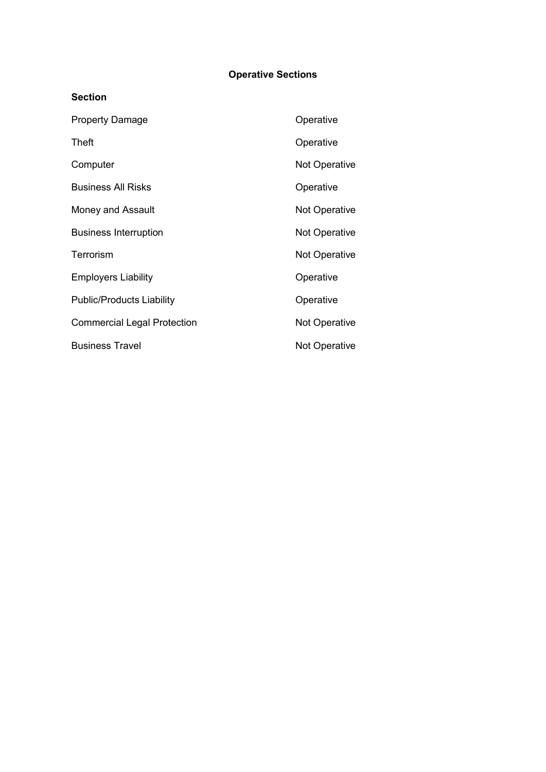# **Operative Sections**

| Operative            |
|----------------------|
| Operative            |
| <b>Not Operative</b> |
| Operative            |
| <b>Not Operative</b> |
| <b>Not Operative</b> |
| <b>Not Operative</b> |
| Operative            |
| Operative            |
| <b>Not Operative</b> |
| <b>Not Operative</b> |
|                      |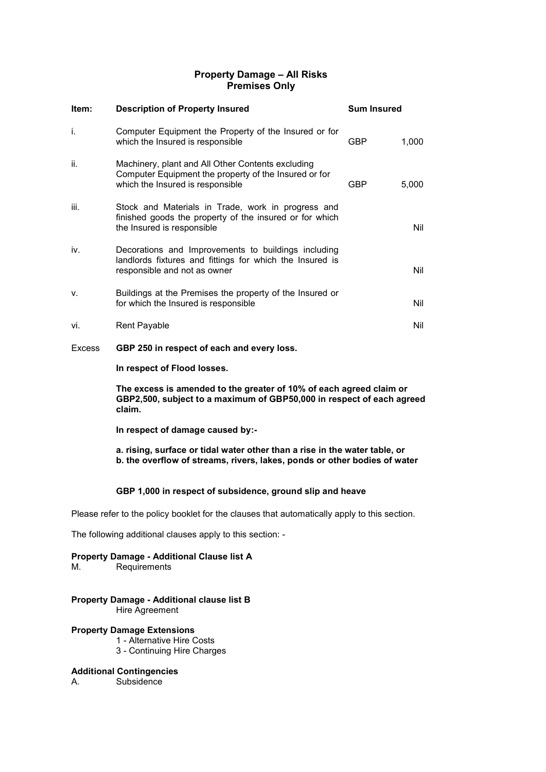# **Property Damage – All Risks Premises Only**

| Item:  | <b>Description of Property Insured</b>                                                                                                          | <b>Sum Insured</b> |       |
|--------|-------------------------------------------------------------------------------------------------------------------------------------------------|--------------------|-------|
| İ.     | Computer Equipment the Property of the Insured or for<br>which the Insured is responsible                                                       | <b>GBP</b>         | 1,000 |
| ii.    | Machinery, plant and All Other Contents excluding<br>Computer Equipment the property of the Insured or for<br>which the Insured is responsible  | <b>GBP</b>         | 5,000 |
| iii.   | Stock and Materials in Trade, work in progress and<br>finished goods the property of the insured or for which<br>the Insured is responsible     |                    | Nil   |
| iv.    | Decorations and Improvements to buildings including<br>landlords fixtures and fittings for which the Insured is<br>responsible and not as owner |                    | Nil   |
| v.     | Buildings at the Premises the property of the Insured or<br>for which the Insured is responsible                                                |                    | Nil   |
| vi.    | <b>Rent Payable</b>                                                                                                                             |                    | Nil   |
| Excess | GBP 250 in respect of each and every loss.                                                                                                      |                    |       |

**In respect of Flood losses.**

**The excess is amended to the greater of 10% of each agreed claim or GBP2,500, subject to a maximum of GBP50,000 in respect of each agreed claim.**

**In respect of damage caused by:-**

**a. rising, surface or tidal water other than a rise in the water table, or b. the overflow of streams, rivers, lakes, ponds or other bodies of water**

# **GBP 1,000 in respect of subsidence, ground slip and heave**

Please refer to the policy booklet for the clauses that automatically apply to this section.

The following additional clauses apply to this section: -

# **Property Damage - Additional Clause list A**

M. Requirements

#### **Property Damage - Additional clause list B** Hire Agreement

#### **Property Damage Extensions**

- 1 Alternative Hire Costs
- 3 Continuing Hire Charges

### **Additional Contingencies**

A. Subsidence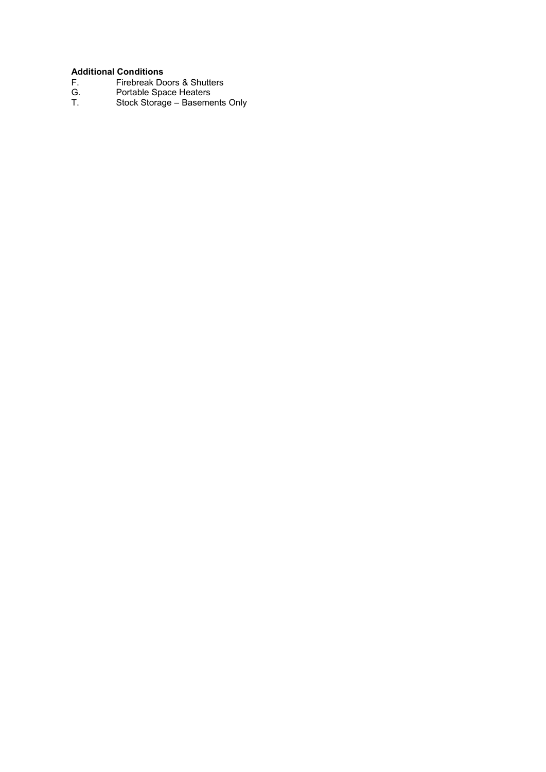- F. Firebreak Doors & Shutters
- **Additional Conditions**<br>
F. Firebreak Dc<br>
G. Portable Spa<br>
T. Stock Storag G. Portable Space Heaters
- T. Stock Storage Basements Only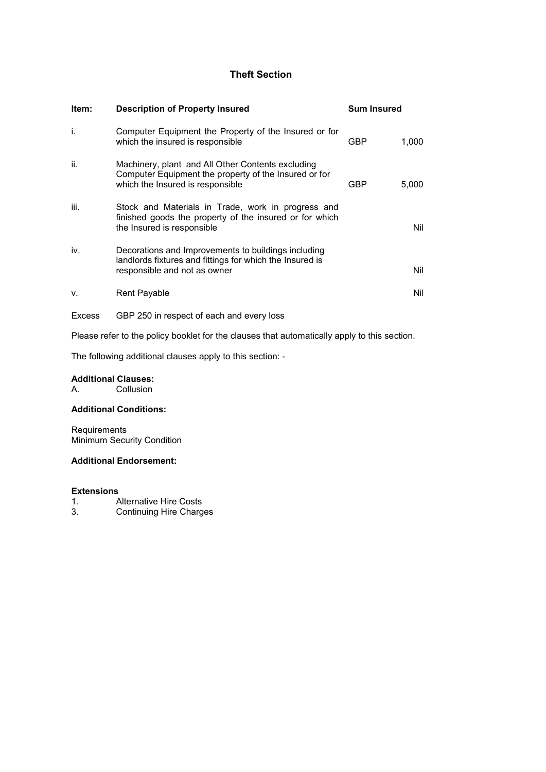# **Theft Section**

| ltem:  | <b>Description of Property Insured</b>                                                                                                          | <b>Sum Insured</b> |       |
|--------|-------------------------------------------------------------------------------------------------------------------------------------------------|--------------------|-------|
| j.     | Computer Equipment the Property of the Insured or for<br>which the insured is responsible                                                       | GBP                | 1,000 |
| ii.    | Machinery, plant and All Other Contents excluding<br>Computer Equipment the property of the Insured or for<br>which the Insured is responsible  | <b>GBP</b>         | 5,000 |
| iii.   | Stock and Materials in Trade, work in progress and<br>finished goods the property of the insured or for which<br>the Insured is responsible     |                    | Nil   |
| iv.    | Decorations and Improvements to buildings including<br>landlords fixtures and fittings for which the Insured is<br>responsible and not as owner |                    | Nil   |
| v.     | Rent Payable                                                                                                                                    |                    | Nil   |
| Excess | GBP 250 in respect of each and every loss                                                                                                       |                    |       |

Please refer to the policy booklet for the clauses that automatically apply to this section.

The following additional clauses apply to this section: -

#### **Additional Clauses:**

A. Collusion

# **Additional Conditions:**

Requirements Minimum Security Condition

### **Additional Endorsement:**

#### **Extensions**

- 1. Alternative Hire Costs
- 3. Continuing Hire Charges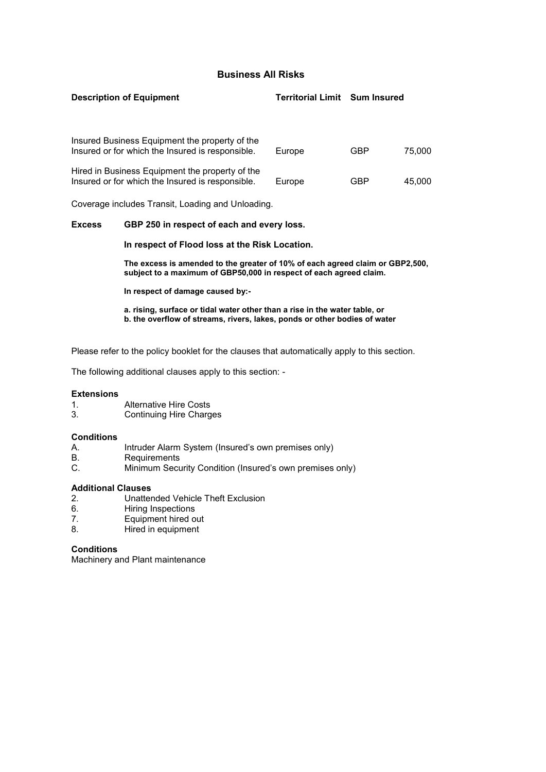# **Business All Risks**

| <b>Description of Equipment</b>                                                                     | <b>Territorial Limit Sum Insured</b> |            |        |
|-----------------------------------------------------------------------------------------------------|--------------------------------------|------------|--------|
| Insured Business Equipment the property of the                                                      |                                      |            |        |
| Insured or for which the Insured is responsible.                                                    | Europe                               | GBP        | 75.000 |
| Hired in Business Equipment the property of the<br>Insured or for which the Insured is responsible. | Europe                               | <b>GBP</b> | 45.000 |
| Coverage includes Transit, Loading and Unloading.                                                   |                                      |            |        |

#### **Excess GBP 250 in respect of each and every loss.**

#### **In respect of Flood loss at the Risk Location.**

**The excess is amended to the greater of 10% of each agreed claim or GBP2,500, subject to a maximum of GBP50,000 in respect of each agreed claim.**

**In respect of damage caused by:-**

**a. rising, surface or tidal water other than a rise in the water table, or b. the overflow of streams, rivers, lakes, ponds or other bodies of water**

Please refer to the policy booklet for the clauses that automatically apply to this section.

The following additional clauses apply to this section: -

#### **Extensions**

- 1. Alternative Hire Costs
- 3. Continuing Hire Charges

## **Conditions**

- A. Intruder Alarm System (Insured's own premises only)
- B. Requirements
- C. Minimum Security Condition (Insured's own premises only)

#### **Additional Clauses**

- 2. Unattended Vehicle Theft Exclusion
- 6. Hiring Inspections
- 7. Equipment hired out<br>8 Hired in equipment
- Hired in equipment

## **Conditions**

Machinery and Plant maintenance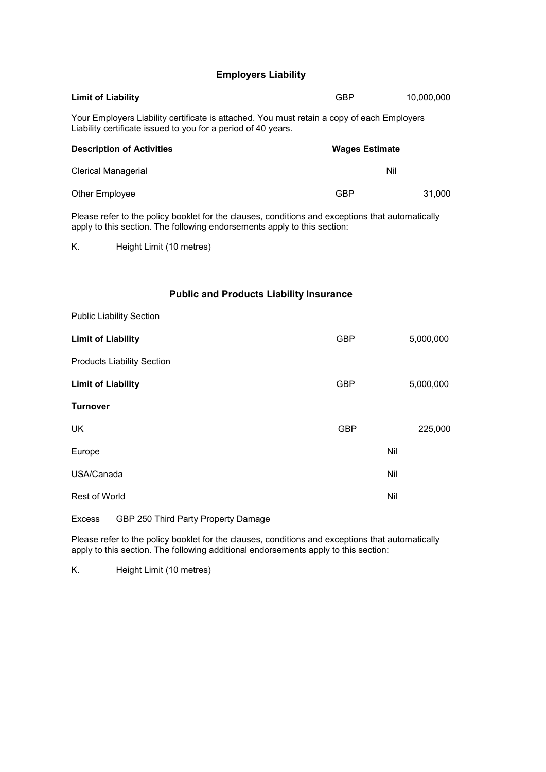# **Employers Liability**

| <b>Limit of Liability</b>                                                                                                                                                    | <b>GBP</b>            | 10,000,000 |
|------------------------------------------------------------------------------------------------------------------------------------------------------------------------------|-----------------------|------------|
| Your Employers Liability certificate is attached. You must retain a copy of each Employers<br>Liability certificate issued to you for a period of 40 years.                  |                       |            |
| <b>Description of Activities</b>                                                                                                                                             | <b>Wages Estimate</b> |            |
| <b>Clerical Managerial</b>                                                                                                                                                   | Nil                   |            |
| Other Employee                                                                                                                                                               | <b>GBP</b>            | 31,000     |
| Please refer to the policy booklet for the clauses, conditions and exceptions that automatically<br>apply to this section. The following endorsements apply to this section: |                       |            |
| Κ.<br>Height Limit (10 metres)                                                                                                                                               |                       |            |
|                                                                                                                                                                              |                       |            |
| <b>Public and Products Liability Insurance</b>                                                                                                                               |                       |            |
| <b>Public Liability Section</b>                                                                                                                                              |                       |            |
| <b>Limit of Liability</b>                                                                                                                                                    | <b>GBP</b>            | 5,000,000  |
| <b>Products Liability Section</b>                                                                                                                                            |                       |            |
| <b>Limit of Liability</b>                                                                                                                                                    | <b>GBP</b>            | 5,000,000  |
| Turnover                                                                                                                                                                     |                       |            |
| UK                                                                                                                                                                           | <b>GBP</b>            | 225,000    |
| Europe                                                                                                                                                                       | Nil                   |            |
| USA/Canada                                                                                                                                                                   | Nil                   |            |
| Rest of World                                                                                                                                                                | Nil                   |            |
|                                                                                                                                                                              |                       |            |

Excess GBP 250 Third Party Property Damage

Please refer to the policy booklet for the clauses, conditions and exceptions that automatically apply to this section. The following additional endorsements apply to this section:

K. Height Limit (10 metres)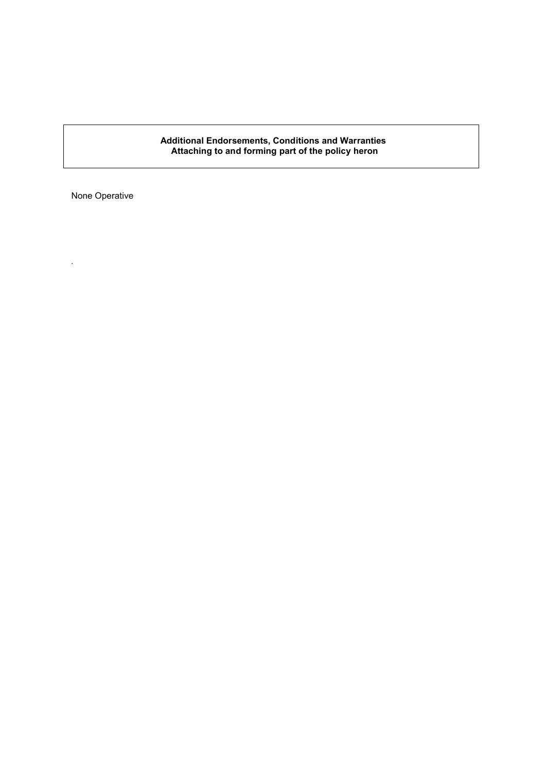#### **Additional Endorsements, Conditions and Warranties Attaching to and forming part of the policy heron**

None Operative

*.*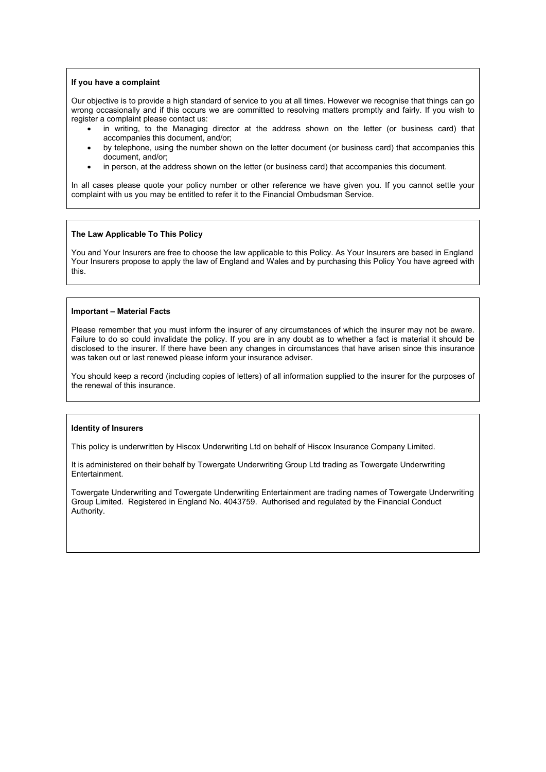#### **If you have a complaint**

Our objective is to provide a high standard of service to you at all times. However we recognise that things can go wrong occasionally and if this occurs we are committed to resolving matters promptly and fairly. If you wish to register a complaint please contact us:

- in writing, to the Managing director at the address shown on the letter (or business card) that accompanies this document, and/or;
- by telephone, using the number shown on the letter document (or business card) that accompanies this document, and/or;
- in person, at the address shown on the letter (or business card) that accompanies this document.

In all cases please quote your policy number or other reference we have given you. If you cannot settle your complaint with us you may be entitled to refer it to the Financial Ombudsman Service.

#### **The Law Applicable To This Policy**

You and Your Insurers are free to choose the law applicable to this Policy. As Your Insurers are based in England Your Insurers propose to apply the law of England and Wales and by purchasing this Policy You have agreed with this.

#### **Important – Material Facts**

Please remember that you must inform the insurer of any circumstances of which the insurer may not be aware. Failure to do so could invalidate the policy. If you are in any doubt as to whether a fact is material it should be disclosed to the insurer. If there have been any changes in circumstances that have arisen since this insurance was taken out or last renewed please inform your insurance adviser.

You should keep a record (including copies of letters) of all information supplied to the insurer for the purposes of the renewal of this insurance.

#### **Identity of Insurers**

This policy is underwritten by Hiscox Underwriting Ltd on behalf of Hiscox Insurance Company Limited.

It is administered on their behalf by Towergate Underwriting Group Ltd trading as Towergate Underwriting Entertainment.

Towergate Underwriting and Towergate Underwriting Entertainment are trading names of Towergate Underwriting Group Limited. Registered in England No. 4043759. Authorised and regulated by the Financial Conduct Authority.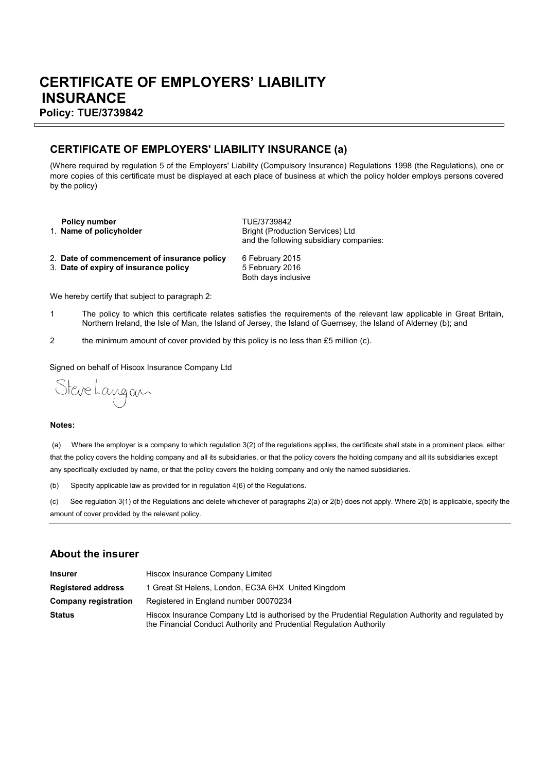# **CERTIFICATE OF EMPLOYERS' LIABILITY INSURANCE Policy: TUE/3739842**

# **CERTIFICATE OF EMPLOYERS' LIABILITY INSURANCE (a)**

(Where required by regulation 5 of the Employers' Liability (Compulsory Insurance) Regulations 1998 (the Regulations), one or more copies of this certificate must be displayed at each place of business at which the policy holder employs persons covered by the policy)

| <b>Policy number</b><br>1. Name of policyholder | TUE/3739842<br><b>Bright (Production Services) Ltd</b> |
|-------------------------------------------------|--------------------------------------------------------|
|                                                 | and the following subsidiary companies:                |

- 2. **Date of commencement of insurance policy** 6 February 2015
- 3. Date of expiry of insurance policy

Both days inclusive

We hereby certify that subject to paragraph 2:

- 1 The policy to which this certificate relates satisfies the requirements of the relevant law applicable in Great Britain, Northern Ireland, the Isle of Man, the Island of Jersey, the Island of Guernsey, the Island of Alderney (b); and
- 2 the minimum amount of cover provided by this policy is no less than £5 million (c).

Signed on behalf of Hiscox Insurance Company Ltd

Steve Langan

#### **Notes:**

Ē

 (a) Where the employer is a company to which regulation 3(2) of the regulations applies, the certificate shall state in a prominent place, either that the policy covers the holding company and all its subsidiaries, or that the policy covers the holding company and all its subsidiaries except any specifically excluded by name, or that the policy covers the holding company and only the named subsidiaries.

(b) Specify applicable law as provided for in regulation 4(6) of the Regulations.

(c) See regulation 3(1) of the Regulations and delete whichever of paragraphs 2(a) or 2(b) does not apply. Where 2(b) is applicable, specify the amount of cover provided by the relevant policy.

# **About the insurer**

| <b>Insurer</b>            | Hiscox Insurance Company Limited                                                                                                                                          |
|---------------------------|---------------------------------------------------------------------------------------------------------------------------------------------------------------------------|
| <b>Registered address</b> | 1 Great St Helens, London, EC3A 6HX United Kingdom                                                                                                                        |
| Company registration      | Registered in England number 00070234                                                                                                                                     |
| <b>Status</b>             | Hiscox Insurance Company Ltd is authorised by the Prudential Regulation Authority and regulated by<br>the Financial Conduct Authority and Prudential Regulation Authority |